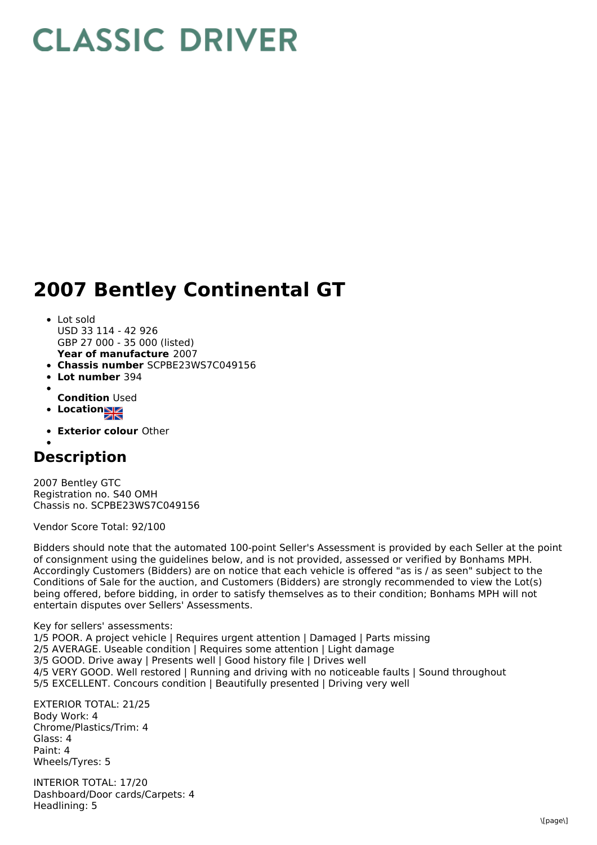## **CLASSIC DRIVER**

## **2007 Bentley Continental GT**

- **Year of manufacture** 2007 Lot sold USD 33 114 - 42 926 GBP 27 000 - 35 000 (listed)
- **Chassis number** SCPBE23WS7C049156
- **Lot number** 394  $\bullet$
- **Condition** Used
- **Location**
- **Exterior colour** Other

## **Description**

2007 Bentley GTC Registration no. S40 OMH Chassis no. SCPBE23WS7C049156

Vendor Score Total: 92/100

Bidders should note that the automated 100-point Seller's Assessment is provided by each Seller at the point of consignment using the guidelines below, and is not provided, assessed or verified by Bonhams MPH. Accordingly Customers (Bidders) are on notice that each vehicle is offered "as is / as seen" subject to the Conditions of Sale for the auction, and Customers (Bidders) are strongly recommended to view the Lot(s) being offered, before bidding, in order to satisfy themselves as to their condition; Bonhams MPH will not entertain disputes over Sellers' Assessments.

Key for sellers' assessments:

1/5 POOR. A project vehicle | Requires urgent attention | Damaged | Parts missing 2/5 AVERAGE. Useable condition | Requires some attention | Light damage 3/5 GOOD. Drive away | Presents well | Good history file | Drives well 4/5 VERY GOOD. Well restored | Running and driving with no noticeable faults | Sound throughout 5/5 EXCELLENT. Concours condition | Beautifully presented | Driving very well

EXTERIOR TOTAL: 21/25 Body Work: 4 Chrome/Plastics/Trim: 4 Glass: 4 Paint: 4 Wheels/Tyres: 5

INTERIOR TOTAL: 17/20 Dashboard/Door cards/Carpets: 4 Headlining: 5